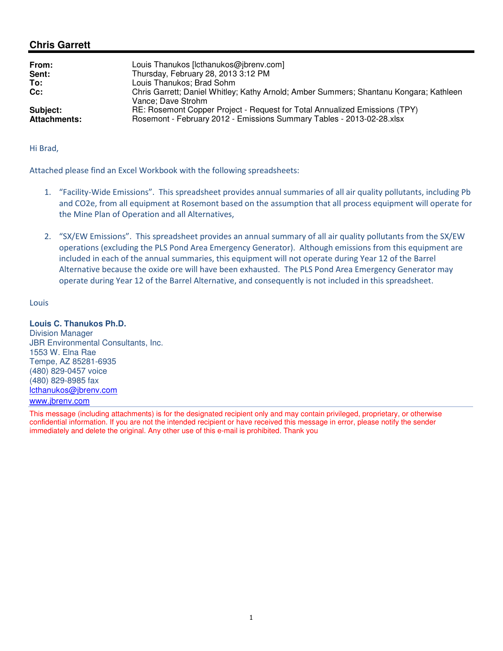# **Chris Garrett**

| From:<br>Sent:<br>To:<br>Cc: | Louis Thanukos [lcthanukos@jbrenv.com]<br>Thursday, February 28, 2013 3:12 PM<br>Louis Thanukos; Brad Sohm<br>Chris Garrett; Daniel Whitley; Kathy Arnold; Amber Summers; Shantanu Kongara; Kathleen<br>Vance: Dave Strohm |
|------------------------------|----------------------------------------------------------------------------------------------------------------------------------------------------------------------------------------------------------------------------|
| Subject:                     | RE: Rosemont Copper Project - Request for Total Annualized Emissions (TPY)                                                                                                                                                 |
| <b>Attachments:</b>          | Rosemont - February 2012 - Emissions Summary Tables - 2013-02-28.xlsx                                                                                                                                                      |

#### Hi Brad,

Attached please find an Excel Workbook with the following spreadsheets:

- 1. "Facility-Wide Emissions". This spreadsheet provides annual summaries of all air quality pollutants, including Pb and CO2e, from all equipment at Rosemont based on the assumption that all process equipment will operate for the Mine Plan of Operation and all Alternatives,
- 2. "SX/EW Emissions". This spreadsheet provides an annual summary of all air quality pollutants from the SX/EW operations (excluding the PLS Pond Area Emergency Generator). Although emissions from this equipment are included in each of the annual summaries, this equipment will not operate during Year 12 of the Barrel Alternative because the oxide ore will have been exhausted. The PLS Pond Area Emergency Generator may operate during Year 12 of the Barrel Alternative, and consequently is not included in this spreadsheet.

## Louis

### **Louis C. Thanukos Ph.D.**

Division Manager JBR Environmental Consultants, Inc. 1553 W. Elna Rae Tempe, AZ 85281-6935 (480) 829-0457 voice (480) 829-8985 fax lcthanukos@jbrenv.com

#### www.jbrenv.com

This message (including attachments) is for the designated recipient only and may contain privileged, proprietary, or otherwise confidential information. If you are not the intended recipient or have received this message in error, please notify the sender immediately and delete the original. Any other use of this e-mail is prohibited. Thank you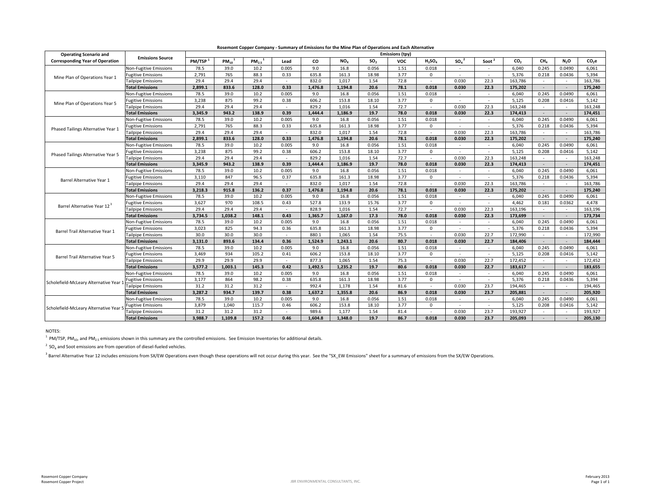| <b>Operating Scenario and</b>          | <b>Emissions Source</b>   | resement copper company community or Emissions for the mine rights of operations and Each rate matrix<br>Emissions (tpy) |                        |                         |        |         |                 |                 |            |             |                              |                   |                 |                 |                  |                   |
|----------------------------------------|---------------------------|--------------------------------------------------------------------------------------------------------------------------|------------------------|-------------------------|--------|---------|-----------------|-----------------|------------|-------------|------------------------------|-------------------|-----------------|-----------------|------------------|-------------------|
| <b>Corresponding Year of Operation</b> |                           | PM/TSP <sup>1</sup>                                                                                                      | $PM_{10}$ <sup>1</sup> | $PM_{2.5}$ <sup>1</sup> | Lead   | CO      | NO <sub>x</sub> | SO <sub>2</sub> | <b>VOC</b> | $H_2SO_4$   | SO <sub>a</sub> <sup>2</sup> | Soot <sup>2</sup> | CO <sub>2</sub> | CH <sub>a</sub> | N <sub>2</sub> O | CO <sub>2</sub> e |
| Mine Plan of Operations Year 1         | Non-Fugitive Emissions    | 78.5                                                                                                                     | 39.0                   | 10.2                    | 0.005  | 9.0     | 16.8            | 0.056           | 1.51       | 0.018       |                              | ٠                 | 6.040           | 0.245           | 0.0490           | 6,061             |
|                                        | Fugitive Emissions        | 2,791                                                                                                                    | 765                    | 88.3                    | 0.33   | 635.8   | 161.3           | 18.98           | 3.77       | $\Omega$    | $\sim$                       | $\sim$            | 5,376           | 0.218           | 0.0436           | 5,394             |
|                                        | <b>Tailpipe Emissions</b> | 29.4                                                                                                                     | 29.4                   | 29.4                    | $\sim$ | 832.0   | 1.017           | 1.54            | 72.8       |             | 0.030                        | 22.3              | 163,786         |                 |                  | 163.786           |
|                                        | <b>Total Emissions</b>    | 2,899.1                                                                                                                  | 833.6                  | 128.0                   | 0.33   | 1.476.8 | 1.194.8         | 20.6            | 78.1       | 0.018       | 0.030                        | 22.3              | 175,202         | $\sim$          | $\sim$           | 175,240           |
|                                        | Non-Fugitive Emissions    | 78.5                                                                                                                     | 39.0                   | 10.2                    | 0.005  | 9.0     | 16.8            | 0.056           | 1.51       | 0.018       | $\sim$                       | $\sim$            | 6,040           | 0.245           | 0.0490           | 6,061             |
| Mine Plan of Operations Year 5         | <b>Fugitive Emissions</b> | 3,238                                                                                                                    | 875                    | 99.2                    | 0.38   | 606.2   | 153.8           | 18.10           | 3.77       | $\Omega$    | $\sim$                       | $\sim$            | 5,125           | 0.208           | 0.0416           | 5,142             |
|                                        | <b>Tailpipe Emissions</b> | 29.4                                                                                                                     | 29.4                   | 29.4                    | $\sim$ | 829.2   | 1.016           | 1.54            | 72.7       |             | 0.030                        | 22.3              | 163,248         |                 |                  | 163.248           |
|                                        | <b>Total Emissions</b>    | 3,345.9                                                                                                                  | 943.2                  | 138.9                   | 0.39   | 1,444.4 | 1,186.9         | 19.7            | 78.0       | 0.018       | 0.030                        | 22.3              | 174,413         | $\sim$          | $\sim$           | 174,451           |
|                                        | Non-Fugitive Emissions    | 78.5                                                                                                                     | 39.0                   | 10.2                    | 0.005  | 9.0     | 16.8            | 0.056           | 1.51       | 0.018       | $\sim$                       | $\sim$            | 6,040           | 0.245           | 0.0490           | 6,061             |
| Phased Tailings Alternative Year 1     | Fugitive Emissions        | 2,791                                                                                                                    | 765                    | 88.3                    | 0.33   | 635.8   | 161.3           | 18.98           | 3.77       | $\Omega$    | $\sim$                       | $\sim$            | 5,376           | 0.218           | 0.0436           | 5,394             |
|                                        | <b>Tailpipe Emissions</b> | 29.4                                                                                                                     | 29.4                   | 29.4                    | $\sim$ | 832.0   | 1.017           | 1.54            | 72.8       |             | 0.030                        | 22.3              | 163,786         |                 |                  | 163,786           |
|                                        | <b>Total Emissions</b>    | 2,899.1                                                                                                                  | 833.6                  | 128.0                   | 0.33   | 1,476.8 | 1,194.8         | 20.6            | 78.1       | 0.018       | 0.030                        | 22.3              | 175,202         | $\sim$          | $\sim$           | 175,240           |
|                                        | Non-Fugitive Emissions    | 78.5                                                                                                                     | 39.0                   | 10.2                    | 0.005  | 9.0     | 16.8            | 0.056           | 1.51       | 0.018       | $\sim$                       | $\sim$            | 6,040           | 0.245           | 0.0490           | 6,061             |
| Phased Tailings Alternative Year 5     | <b>Fugitive Emissions</b> | 3,238                                                                                                                    | 875                    | 99.2                    | 0.38   | 606.2   | 153.8           | 18.10           | 3.77       | $\mathbf 0$ |                              | $\sim$            | 5,125           | 0.208           | 0.0416           | 5,142             |
|                                        | <b>Tailpipe Emissions</b> | 29.4                                                                                                                     | 29.4                   | 29.4                    | $\sim$ | 829.2   | 1,016           | 1.54            | 72.7       |             | 0.030                        | 22.3              | 163,248         |                 |                  | 163,248           |
|                                        | <b>Total Emissions</b>    | 3,345.9                                                                                                                  | 943.2                  | 138.9                   | 0.39   | 1,444.4 | 1,186.9         | 19.7            | 78.0       | 0.018       | 0.030                        | 22.3              | 174,413         | $\sim$          | $\sim$           | 174,451           |
| Barrel Alternative Year 1              | Non-Fugitive Emissions    | 78.5                                                                                                                     | 39.0                   | 10.2                    | 0.005  | 9.0     | 16.8            | 0.056           | 1.51       | 0.018       | $\sim$                       | $\sim$            | 6,040           | 0.245           | 0.0490           | 6,061             |
|                                        | Fugitive Emissions        | 3,110                                                                                                                    | 847                    | 96.5                    | 0.37   | 635.8   | 161.3           | 18.98           | 3.77       | $\mathbf 0$ |                              | $\sim$            | 5,376           | 0.218           | 0.0436           | 5,394             |
|                                        | <b>Tailpipe Emissions</b> | 29.4                                                                                                                     | 29.4                   | 29.4                    | ٠      | 832.0   | 1,017           | 1.54            | 72.8       |             | 0.030                        | 22.3              | 163,786         |                 |                  | 163,786           |
|                                        | <b>Total Emissions</b>    | 3,218.3                                                                                                                  | 915.8                  | 136.2                   | 0.37   | 1,476.8 | 1,194.8         | 20.6            | 78.1       | 0.018       | 0.030                        | 22.3              | 175,202         | $\sim$          | $\sim$           | 175,240           |
|                                        | Non-Fugitive Emissions    | 78.5                                                                                                                     | 39.0                   | 10.2                    | 0.005  | 9.0     | 16.8            | 0.056           | 1.51       | 0.018       | $\sim$                       | $\sim$            | 6,040           | 0.245           | 0.0490           | 6,061             |
| Barrel Alternative Year 12             | <b>Fugitive Emissions</b> | 3,627                                                                                                                    | 970                    | 108.5                   | 0.43   | 527.8   | 133.9           | 15.76           | 3.77       | $\Omega$    |                              |                   | 4,462           | 0.181           | 0.0362           | 4,478             |
|                                        | <b>Tailpipe Emissions</b> | 29.4                                                                                                                     | 29.4                   | 29.4                    | ٠      | 828.9   | 1,016           | 1.54            | 72.7       |             | 0.030                        | 22.3              | 163,196         | $\sim$          |                  | 163,196           |
|                                        | <b>Total Emissions</b>    | 3,734.5                                                                                                                  | 1,038.2                | 148.1                   | 0.43   | 1,365.7 | 1.167.0         | 17.3            | 78.0       | 0.018       | 0.030                        | 22.3              | 173,699         | $\overline{a}$  | $\sim$           | 173,734           |
| Barrel Trail Alternative Year 1        | Non-Fugitive Emissions    | 78.5                                                                                                                     | 39.0                   | 10.2                    | 0.005  | 9.0     | 16.8            | 0.056           | 1.51       | 0.018       | $\sim$                       | $\sim$            | 6,040           | 0.245           | 0.0490           | 6,061             |
|                                        | Fugitive Emissions        | 3,023                                                                                                                    | 825                    | 94.3                    | 0.36   | 635.8   | 161.3           | 18.98           | 3.77       | $\Omega$    |                              | $\sim$            | 5,376           | 0.218           | 0.0436           | 5,394             |
|                                        | <b>Tailpipe Emissions</b> | 30.0                                                                                                                     | 30.0                   | 30.0                    | ٠      | 880.1   | 1,065           | 1.54            | 75.5       |             | 0.030                        | 22.7              | 172,990         |                 |                  | 172,990           |
|                                        | <b>Total Emissions</b>    | 3,131.0                                                                                                                  | 893.6                  | 134.4                   | 0.36   | 1,524.9 | 1.243.1         | 20.6            | 80.7       | 0.018       | 0.030                        | 22.7              | 184,406         | $\sim$          | $\sim$           | 184,444           |
| Barrel Trail Alternative Year 5        | Non-Fugitive Emissions    | 78.5                                                                                                                     | 39.0                   | 10.2                    | 0.005  | 9.0     | 16.8            | 0.056           | 1.51       | 0.018       | $\sim$                       | $\sim$            | 6.040           | 0.245           | 0.0490           | 6,061             |
|                                        | <b>Fugitive Emissions</b> | 3,469                                                                                                                    | 934                    | 105.2                   | 0.41   | 606.2   | 153.8           | 18.10           | 3.77       | $\Omega$    |                              |                   | 5,125           | 0.208           | 0.0416           | 5,142             |
|                                        | <b>Tailpipe Emissions</b> | 29.9                                                                                                                     | 29.9                   | 29.9                    | ٠      | 877.3   | 1,065           | 1.54            | 75.3       |             | 0.030                        | 22.7              | 172,452         | $\sim$          |                  | 172,452           |
|                                        | <b>Total Emissions</b>    | 3,577.2                                                                                                                  | 1,003.1                | 145.3                   | 0.42   | 1,492.5 | 1.235.2         | 19.7            | 80.6       | 0.018       | 0.030                        | 22.7              | 183,617         | $\overline{a}$  | $\sim$           | 183,655           |
| Scholefield-McLeary Alternative Year   | Non-Fugitive Emissions    | 78.5                                                                                                                     | 39.0                   | 10.2                    | 0.005  | 9.0     | 16.8            | 0.056           | 1.51       | 0.018       | $\sim$                       | $\sim$            | 6,040           | 0.245           | 0.0490           | 6,061             |
|                                        | <b>Fugitive Emissions</b> | 3,177                                                                                                                    | 864                    | 98.2                    | 0.38   | 635.8   | 161.3           | 18.98           | 3.77       | $\Omega$    |                              | $\sim$            | 5,376           | 0.218           | 0.0436           | 5,394             |
|                                        | <b>Tailpipe Emissions</b> | 31.2                                                                                                                     | 31.2                   | 31.2                    | ٠      | 992.4   | 1,178           | 1.54            | 81.6       |             | 0.030                        | 23.7              | 194,465         |                 |                  | 194,465           |
|                                        | <b>Total Emissions</b>    | 3,287.2                                                                                                                  | 934.7                  | 139.7                   | 0.38   | 1,637.2 | 1,355.8         | 20.6            | 86.9       | 0.018       | 0.030                        | 23.7              | 205,881         | $\sim$          | $\sim$           | 205,920           |
| Scholefield-McLeary Alternative Year   | Non-Fugitive Emissions    | 78.5                                                                                                                     | 39.0                   | 10.2                    | 0.005  | 9.0     | 16.8            | 0.056           | 1.51       | 0.018       | $\sim$                       | $\sim$            | 6,040           | 0.245           | 0.0490           | 6,061             |
|                                        | <b>Fugitive Emissions</b> | 3,879                                                                                                                    | 1,040                  | 115.7                   | 0.46   | 606.2   | 153.8           | 18.10           | 3.77       | $\mathbf 0$ |                              |                   | 5,125           | 0.208           | 0.0416           | 5,142             |
|                                        | Tailpipe Emissions        | 31.2                                                                                                                     | 31.2                   | 31.2                    | $\sim$ | 989.6   | 1.177           | 1.54            | 81.4       |             | 0.030                        | 23.7              | 193.927         | $\sim$          |                  | 193.927           |
|                                        | <b>Total Emissions</b>    | 3,988.7                                                                                                                  | 1.109.8                | 157.2                   | 0.46   | 1,604.8 | 1.348.0         | 19.7            | 86.7       | 0.018       | 0.030                        | 23.7              | 205,093         | ٠               |                  | 205.130           |

#### **Rosemont Copper Company - Summary of Emissions for the Mine Plan of Operations and Each Alternative**

NOTES:

<sup>1</sup> PM/TSP, PM<sub>10</sub>, and PM<sub>2.5</sub> emissions shown in this summary are the controlled emissions. See Emission Inventories for additional details.

 $2$  SO<sub>4</sub> and Soot emissions are from operation of diesel-fueled vehicles.

<sup>3</sup> Barrel Alternative Year 12 includes emissions from SX/EW Operations even though these operations will not occur during this year. See the "SX\_EW Emissions" sheet for a summary of emissions from the SX/EW Operations.